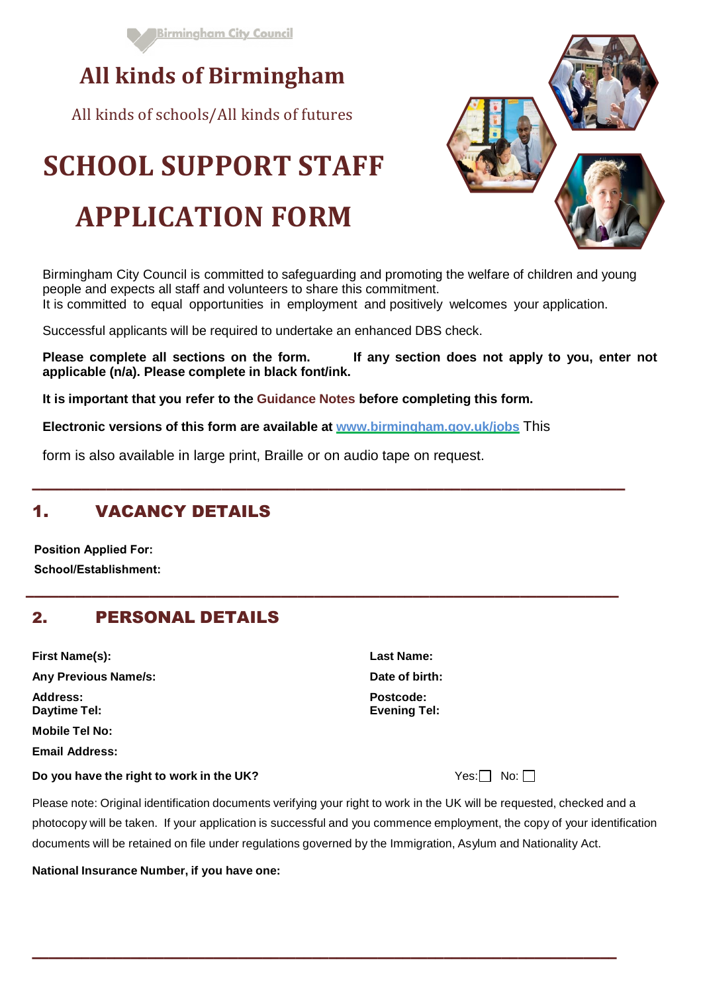

# **All kinds of Birmingham**

All kinds of schools/All kinds of futures

# **SCHOOL SUPPORT STAFF**

# **APPLICATION FORM**

Birmingham City Council is committed to safeguarding and promoting the welfare of children and young people and expects all staff and volunteers to share this commitment.

It is committed to equal opportunities in employment and positively welcomes your application.

––––––––––––––––––––––––––––––––––––––––––––––––––––––––––––––––––––––––

––––––––––––––––––––––––––––––––––––––––––––––––––––––––––––––––––––––––

Successful applicants will be required to undertake an enhanced DBS check.

**Please complete all sections on the form. If any section does not apply to you, enter not applicable (n/a). Please complete in black font/ink.**

**It is important that you refer to the Guidance Notes before completing this form.** 

**Electronic versions of this form are available at [www.birmingham.gov.uk/jobs](http://www.birmingham.gov.uk/jobs)** This

form is also available in large print, Braille or on audio tape on request.

# 1. VACANCY DETAILS

**Position Applied For: School/Establishment:**

# 2. PERSONAL DETAILS

| <b>First Name(s):</b>       |  |
|-----------------------------|--|
| <b>Any Previous Name/s:</b> |  |
| Address:                    |  |
| <b>Daytime Tel:</b>         |  |
| Mobile Tel No:              |  |
| <b>Email Address:</b>       |  |

#### **Do you have the right to work in the UK? No: No: No: No: ■ No: ■ No: ■ No: ■ No: ■ No: ■ No: ■ No: ■ No: ■ No: ■ No: ■ No: ■ No: ■ No: ■ No: ■ No: ■ No: ■ No: ■ No: ■ No: ■ No: ■ No: ■ No: ■ No: ■ No: ■ No: ■ No: ■ No: ■**

**Last Name: Any Previous Name/s: Date of birth: Address: Postcode: Daytime Tel: Evening Tel:** 

Please note: Original identification documents verifying your right to work in the UK will be requested, checked and a photocopy will be taken. If your application is successful and you commence employment, the copy of your identification documents will be retained on file under regulations governed by the Immigration, Asylum and Nationality Act.

–––––––––––––––––––––––––––––––––––––––––––––––––––––––––––––––––––––––

**National Insurance Number, if you have one:** 

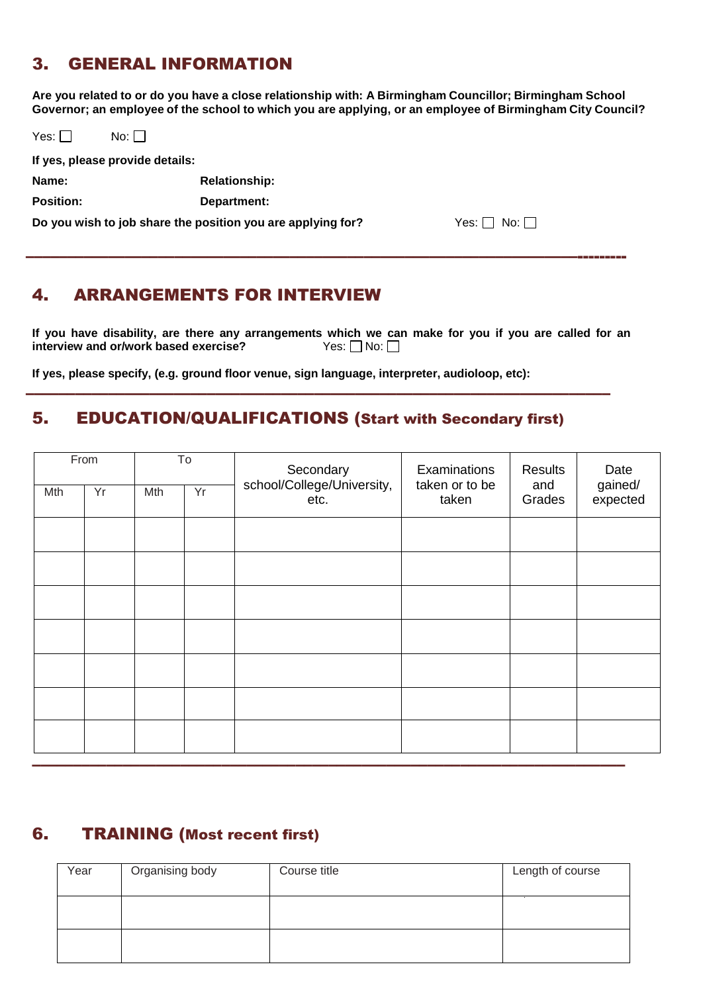# 3. GENERAL INFORMATION

**Are you related to or do you have a close relationship with: A Birmingham Councillor; Birmingham School Governor; an employee of the school to which you are applying, or an employee of Birmingham City Council?** 

| Yes: $\Box$      | $No:$ $\vert \ \vert$           |                                                             |                        |
|------------------|---------------------------------|-------------------------------------------------------------|------------------------|
|                  | If yes, please provide details: |                                                             |                        |
| Name:            |                                 | <b>Relationship:</b>                                        |                        |
| <b>Position:</b> |                                 | Department:                                                 |                        |
|                  |                                 | Do you wish to job share the position you are applying for? | Yes: $\Box$ No: $\Box$ |

–––––––––––––––––––––––––––––––––––––––––––––––––––––––––––––––––––---------

# 4. ARRANGEMENTS FOR INTERVIEW

**If you have disability, are there any arrangements which we can make for you if you are called for an interview and or/work based exercise?** Yes:  $\Box$  No:

**If yes, please specify, (e.g. ground floor venue, sign language, interpreter, audioloop, etc):**

# 5. EDUCATION/QUALIFICATIONS (Start with Secondary first)

–––––––––––––––––––––––––––––––––––––––––––––––––––––––––––––––––––––––

| From |    | $\overline{\mathsf{T}}$ o |  | Secondary<br>school/College/University, | Examinations<br>taken or to be | Results       | Date                |
|------|----|---------------------------|--|-----------------------------------------|--------------------------------|---------------|---------------------|
| Mth  | Yr | Yr<br>Mth                 |  | etc.                                    | taken                          | and<br>Grades | gained/<br>expected |
|      |    |                           |  |                                         |                                |               |                     |
|      |    |                           |  |                                         |                                |               |                     |
|      |    |                           |  |                                         |                                |               |                     |
|      |    |                           |  |                                         |                                |               |                     |
|      |    |                           |  |                                         |                                |               |                     |
|      |    |                           |  |                                         |                                |               |                     |
|      |    |                           |  |                                         |                                |               |                     |

# 6. TRAINING (Most recent first)

| Year | Organising body | Course title | Length of course |
|------|-----------------|--------------|------------------|
|      |                 |              |                  |
|      |                 |              |                  |
|      |                 |              |                  |
|      |                 |              |                  |
|      |                 |              |                  |
|      |                 |              |                  |
|      |                 |              |                  |

––––––––––––––––––––––––––––––––––––––––––––––––––––––––––––––––––––––––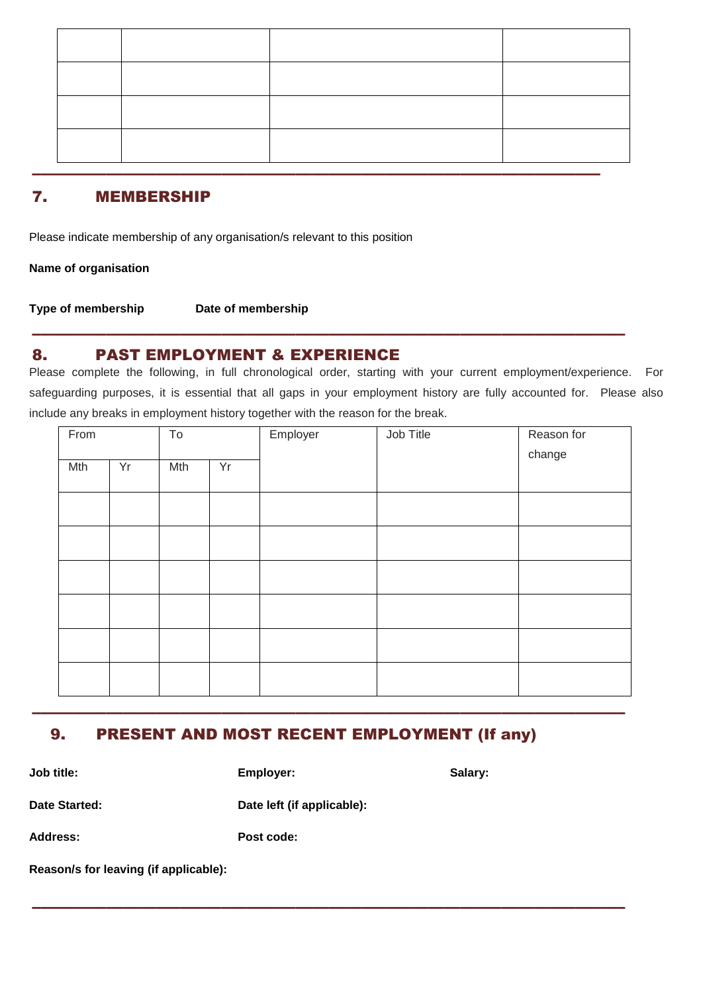## 7. MEMBERSHIP

Please indicate membership of any organisation/s relevant to this position

**Name of organisation** 

**Type of membership Date of membership** 

## 8. PAST EMPLOYMENT & EXPERIENCE

Please complete the following, in full chronological order, starting with your current employment/experience. For safeguarding purposes, it is essential that all gaps in your employment history are fully accounted for. Please also include any breaks in employment history together with the reason for the break.

––––––––––––––––––––––––––––––––––––––––––––––––––––––––––––––––––––––––

| From |    | To  |    | Employer | Job Title | Reason for<br>change |
|------|----|-----|----|----------|-----------|----------------------|
| Mth  | Yr | Mth | Yr |          |           |                      |
|      |    |     |    |          |           |                      |
|      |    |     |    |          |           |                      |
|      |    |     |    |          |           |                      |
|      |    |     |    |          |           |                      |
|      |    |     |    |          |           |                      |
|      |    |     |    |          |           |                      |

# 9. PRESENT AND MOST RECENT EMPLOYMENT (If any)

––––––––––––––––––––––––––––––––––––––––––––––––––––––––––––––––––––––––

––––––––––––––––––––––––––––––––––––––––––––––––––––––––––––––––––––––––

**Job title: Employer: Salary: Date Started: Date left (if applicable): Address: Post code: Reason/s for leaving (if applicable):**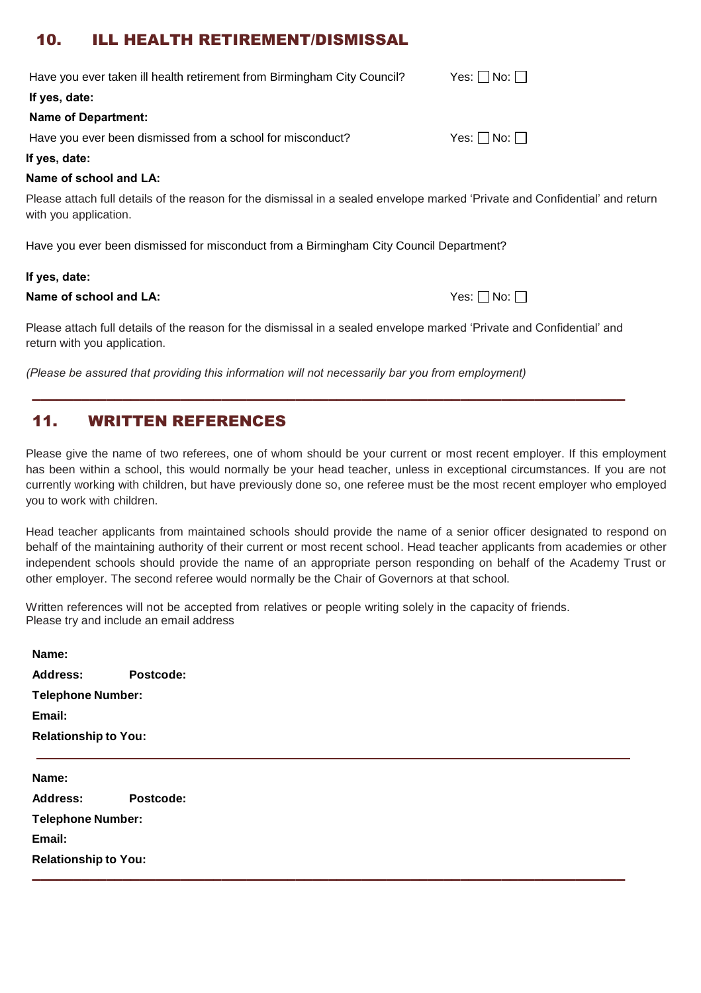# 10. ILL HEALTH RETIREMENT/DISMISSAL

| Have you ever taken ill health retirement from Birmingham City Council?                                                                               | Yes: $\Box$ No: $\Box$ |
|-------------------------------------------------------------------------------------------------------------------------------------------------------|------------------------|
| If yes, date:                                                                                                                                         |                        |
| <b>Name of Department:</b>                                                                                                                            |                        |
| Have you ever been dismissed from a school for misconduct?                                                                                            | Yes: $\Box$ No: $\Box$ |
| If yes, date:                                                                                                                                         |                        |
| Name of school and LA:                                                                                                                                |                        |
| Please attach full details of the reason for the dismissal in a sealed envelope marked 'Private and Confidential' and return<br>with you application. |                        |
| Have you ever been dismissed for misconduct from a Birmingham City Council Department?                                                                |                        |

#### **If yes, date:**

#### **Name of school and LA:**  $\blacksquare$  No:  $\blacksquare$  No:  $\blacksquare$  No:  $\blacksquare$

Please attach full details of the reason for the dismissal in a sealed envelope marked 'Private and Confidential' and return with you application.

––––––––––––––––––––––––––––––––––––––––––––––––––––––––––––––––––––––––

*(Please be assured that providing this information will not necessarily bar you from employment)*

# 11. WRITTEN REFERENCES

Please give the name of two referees, one of whom should be your current or most recent employer. If this employment has been within a school, this would normally be your head teacher, unless in exceptional circumstances. If you are not currently working with children, but have previously done so, one referee must be the most recent employer who employed you to work with children.

Head teacher applicants from maintained schools should provide the name of a senior officer designated to respond on behalf of the maintaining authority of their current or most recent school. Head teacher applicants from academies or other independent schools should provide the name of an appropriate person responding on behalf of the Academy Trust or other employer. The second referee would normally be the Chair of Governors at that school.

Written references will not be accepted from relatives or people writing solely in the capacity of friends. Please try and include an email address

| Name:                       |           |
|-----------------------------|-----------|
| <b>Address:</b>             | Postcode: |
| <b>Telephone Number:</b>    |           |
| Email:                      |           |
| <b>Relationship to You:</b> |           |
|                             |           |
|                             |           |
| Name:                       |           |
| <b>Address:</b>             | Postcode: |
| <b>Telephone Number:</b>    |           |
| Email:                      |           |
| <b>Relationship to You:</b> |           |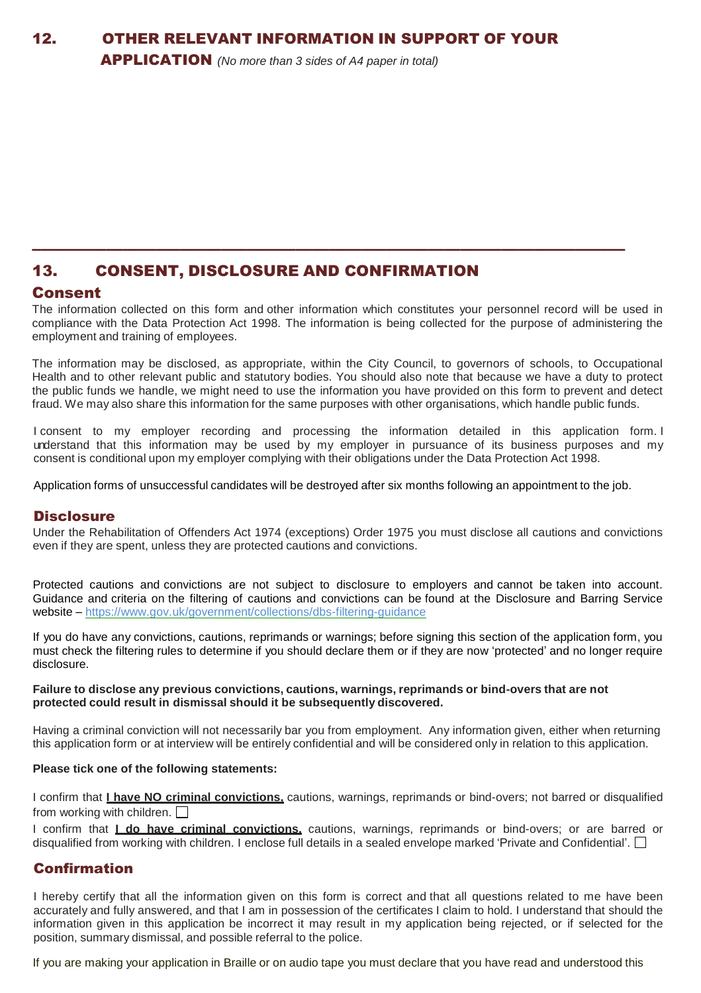APPLICATION *(No more than 3 sides of A4 paper in total)*

# 13. CONSENT, DISCLOSURE AND CONFIRMATION

#### Consent

The information collected on this form and other information which constitutes your personnel record will be used in compliance with the Data Protection Act 1998. The information is being collected for the purpose of administering the employment and training of employees.

––––––––––––––––––––––––––––––––––––––––––––––––––––––––––––––––––––––––

The information may be disclosed, as appropriate, within the City Council, to governors of schools, to Occupational Health and to other relevant public and statutory bodies. You should also note that because we have a duty to protect the public funds we handle, we might need to use the information you have provided on this form to prevent and detect fraud. We may also share this information for the same purposes with other organisations, which handle public funds.

I consent to my employer recording and processing the information detailed in this application form. I understand that this information may be used by my employer in pursuance of its business purposes and my consent is conditional upon my employer complying with their obligations under the Data Protection Act 1998.

Application forms of unsuccessful candidates will be destroyed after six months following an appointment to the job.

#### **Disclosure**

Under the Rehabilitation of Offenders Act 1974 (exceptions) Order 1975 you must disclose all cautions and convictions even if they are spent, unless they are protected cautions and convictions.

Protected cautions and convictions are not subject to disclosure to employers and cannot be taken into account. Guidance and criteria on the filtering of cautions and convictions can be found at the Disclosure and Barring Service website – <https://www.gov.uk/government/collections/dbs-filtering-guidance>

If you do have any convictions, cautions, reprimands or warnings; before signing this section of the application form, you must check the filtering rules to determine if you should declare them or if they are now 'protected' and no longer require disclosure.

#### **Failure to disclose any previous convictions, cautions, warnings, reprimands or bind-overs that are not protected could result in dismissal should it be subsequently discovered.**

Having a criminal conviction will not necessarily bar you from employment. Any information given, either when returning this application form or at interview will be entirely confidential and will be considered only in relation to this application.

#### **Please tick one of the following statements:**

I confirm that **I have NO criminal convictions,** cautions, warnings, reprimands or bind-overs; not barred or disqualified from working with children.  $\Box$ 

I confirm that **I do have criminal convictions,** cautions, warnings, reprimands or bind-overs; or are barred or disqualified from working with children. I enclose full details in a sealed envelope marked 'Private and Confidential'.  $\Box$ 

## Confirmation

I hereby certify that all the information given on this form is correct and that all questions related to me have been accurately and fully answered, and that I am in possession of the certificates I claim to hold. I understand that should the information given in this application be incorrect it may result in my application being rejected, or if selected for the position, summary dismissal, and possible referral to the police.

If you are making your application in Braille or on audio tape you must declare that you have read and understood this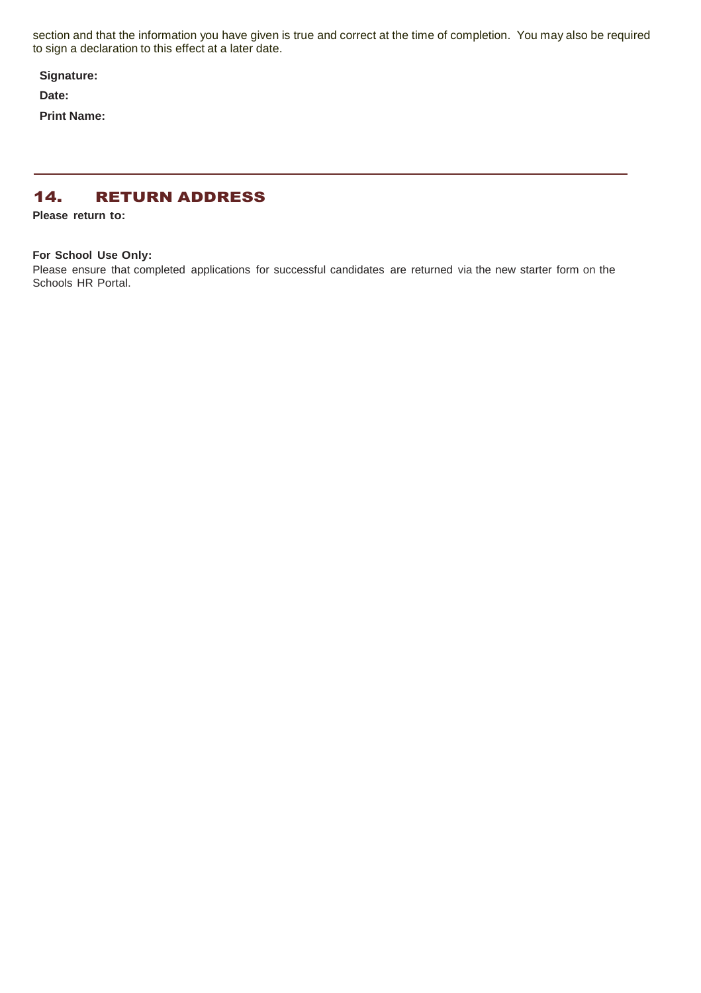section and that the information you have given is true and correct at the time of completion. You may also be required to sign a declaration to this effect at a later date.

**Signature:** 

**Date:**

**Print Name:**

## 14. RETURN ADDRESS

**Please return to:** 

#### **For School Use Only:**

Please ensure that completed applications for successful candidates are returned via the new starter form on the Schools HR Portal.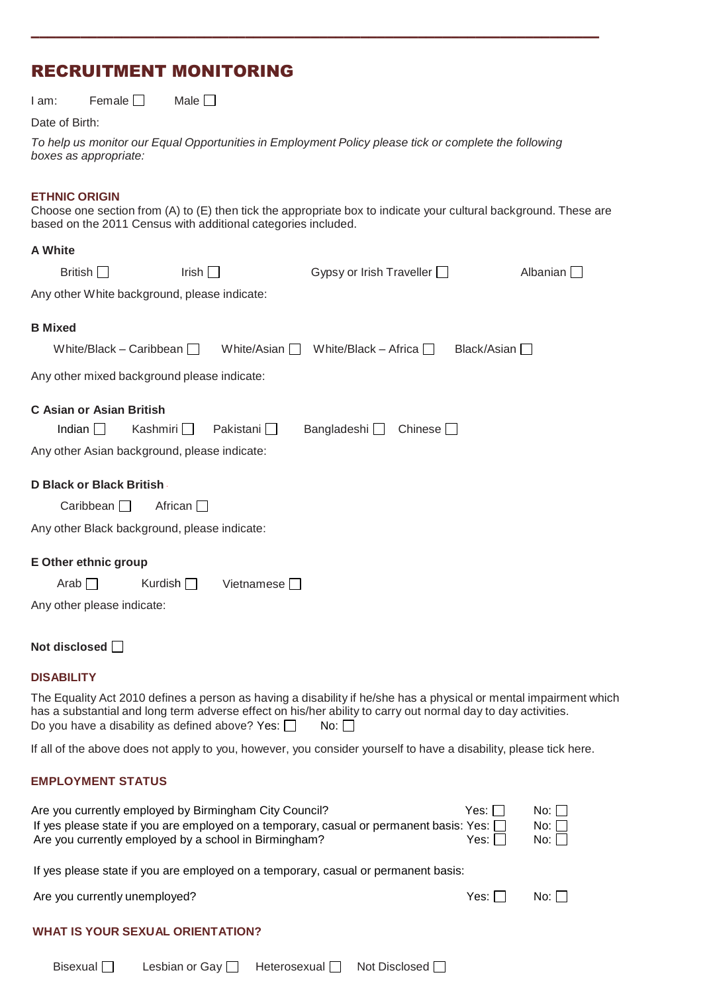# RECRUITMENT MONITORING

 $I$  am: Female  $\Box$  Male  $\Box$ 

#### Date of Birth:

|                       | To help us monitor our Equal Opportunities in Employment Policy please tick or complete the following |  |
|-----------------------|-------------------------------------------------------------------------------------------------------|--|
| boxes as appropriate: |                                                                                                       |  |

–––––––––––––––––––––––––––––––––––––––––––––––––––––––––––––––––––––

#### **ETHNIC ORIGIN**

Choose one section from (A) to (E) then tick the appropriate box to indicate your cultural background. These are based on the 2011 Census with additional categories included.

#### **A White**

| British                                                                                          | Irish $\Box$      |                     | Gypsy or Irish Traveller |                | Albanian $\square$ |
|--------------------------------------------------------------------------------------------------|-------------------|---------------------|--------------------------|----------------|--------------------|
| Any other White background, please indicate:                                                     |                   |                     |                          |                |                    |
| <b>B</b> Mixed<br>White/Black - Caribbean                                                        |                   | White/Asian $\Box$  | White/Black – Africa     | Black/Asian    |                    |
| Any other mixed background please indicate:                                                      |                   |                     |                          |                |                    |
| <b>C Asian or Asian British</b><br>Indian $\Box$<br>Any other Asian background, please indicate: | Kashmiri <b>I</b> | Pakistani $\square$ | Bangladeshi □            | Chinese $\Box$ |                    |
| D Black or Black British                                                                         |                   |                     |                          |                |                    |
| Caribbean $\Box$                                                                                 | African $\Box$    |                     |                          |                |                    |
| Any other Black background, please indicate:                                                     |                   |                     |                          |                |                    |
| <b>E Other ethnic group</b><br>Arab $\Box$                                                       | Kurdish $\Box$    | Vietnamese          |                          |                |                    |
|                                                                                                  |                   |                     |                          |                |                    |

Any other please indicate:

|  |  | Not disclosed $\Box$ |  |
|--|--|----------------------|--|
|--|--|----------------------|--|

#### **DISABILITY**

The Equality Act 2010 defines a person as having a disability if he/she has a physical or mental impairment which has a substantial and long term adverse effect on his/her ability to carry out normal day to day activities. Do you have a disability as defined above? Yes:  $\Box$  No:  $\Box$ 

If all of the above does not apply to you, however, you consider yourself to have a disability, please tick here.

#### **EMPLOYMENT STATUS**

| Are you currently employed by Birmingham City Council?                                         | Yes: 1 <sub>1</sub> | No: |
|------------------------------------------------------------------------------------------------|---------------------|-----|
| If yes please state if you are employed on a temporary, casual or permanent basis: Yes: $\Box$ |                     | No: |
| Are you currently employed by a school in Birmingham?                                          | Yes: 1 <sub>1</sub> | No: |

If yes please state if you are employed on a temporary, casual or permanent basis:

Are you currently unemployed? Are you currently unemployed?

|  | <b>WHAT IS YOUR SEXUAL ORIENTATION?</b> |  |
|--|-----------------------------------------|--|
|  |                                         |  |

| Bisexual $\Box$ | Lesbian or Gay   Heterosexual   Not Disclosed |  |
|-----------------|-----------------------------------------------|--|
|                 |                                               |  |